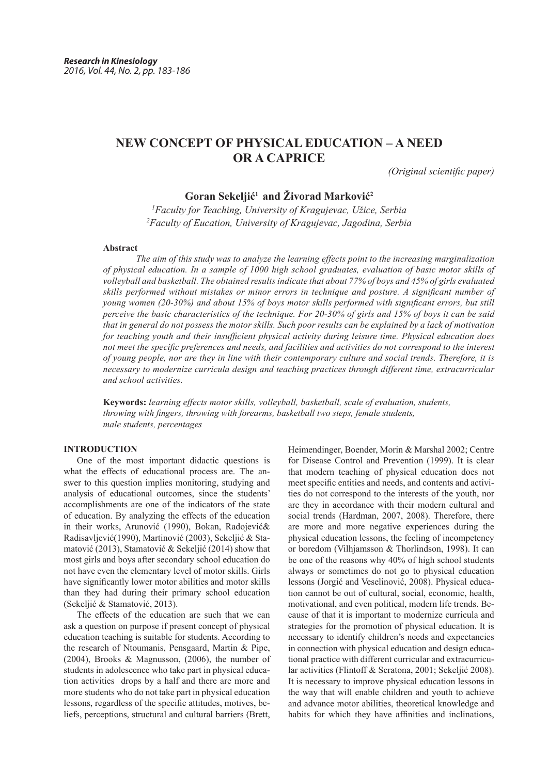# **NEW CONCEPT OF PHYSICAL EDUCATION – A NEED OR A CAPRICE**

*(Original scientific paper)* 

# **Goran Sekeljić1 and Živorad Marković<sup>2</sup>**

*1 Faculty for Teaching, University of Kragujevac, Užice, Serbia 2 Faculty of Eucation, University of Kragujevac, Jagodina, Serbia*

# **Abstract**

*The aim of this study was to analyze the learning effects point to the increasing marginalization of physical education. In a sample of 1000 high school graduates, evaluation of basic motor skills of volleyball and basketball. The obtained results indicate that about 77% of boys and 45% of girls evaluated skills performed without mistakes or minor errors in technique and posture. A significant number of young women (20-30%) and about 15% of boys motor skills performed with significant errors, but still perceive the basic characteristics of the technique. For 20-30% of girls and 15% of boys it can be said that in general do not possess the motor skills. Such poor results can be explained by a lack of motivation for teaching youth and their insufficient physical activity during leisure time. Physical education does not meet the specific preferences and needs, and facilities and activities do not correspond to the interest of young people, nor are they in line with their contemporary culture and social trends. Therefore, it is necessary to modernize curricula design and teaching practices through different time, extracurricular and school activities.*

**Keywords:** *learning effects motor skills, volleyball, basketball, scale of evaluation, students, throwing with fingers, throwing with forearms, basketball two steps, female students, male students, percentages*

## **INTRODUCTION**

One of the most important didactic questions is what the effects of educational process are. The answer to this question implies monitoring, studying and analysis of educational outcomes, since the students' accomplishments are one of the indicators of the state of education. By analyzing the effects of the education in their works, Arunović (1990), Bokan, Radojević& Radisavljević(1990), Martinović (2003), Sekeljić & Stamatović (2013), Stamatović & Sekeljić (2014) show that most girls and boys after secondary school education do not have even the elementary level of motor skills. Girls have significantly lower motor abilities and motor skills than they had during their primary school education (Sekeljić & Stamatović, 2013).

The effects of the education are such that we can ask a question on purpose if present concept of physical education teaching is suitable for students. According to the research of Ntoumanis, Pensgaard, Martin & Pipe, (2004), Brooks & Magnusson, (2006), the number of students in adolescence who take part in physical education activities drops by a half and there are more and more students who do not take part in physical education lessons, regardless of the specific attitudes, motives, beliefs, perceptions, structural and cultural barriers (Brett, Heimendinger, Boender, Morin & Marshal 2002; Centre for Disease Control and Prevention (1999). It is clear that modern teaching of physical education does not meet specific entities and needs, and contents and activities do not correspond to the interests of the youth, nor are they in accordance with their modern cultural and social trends (Hardman, 2007, 2008). Therefore, there are more and more negative experiences during the physical education lessons, the feeling of incompetency or boredom (Vilhjamsson & Thorlindson, 1998). It can be one of the reasons why 40% of high school students always or sometimes do not go to physical education lessons (Jorgić and Veselinović, 2008). Physical education cannot be out of cultural, social, economic, health, motivational, and even political, modern life trends. Because of that it is important to modernize curricula and strategies for the promotion of physical education. It is necessary to identify children's needs and expectancies in connection with physical education and design educational practice with different curricular and extracurricular activities (Flintoff & Scratona, 2001; Sekeljić 2008). It is necessary to improve physical education lessons in the way that will enable children and youth to achieve and advance motor abilities, theoretical knowledge and habits for which they have affinities and inclinations,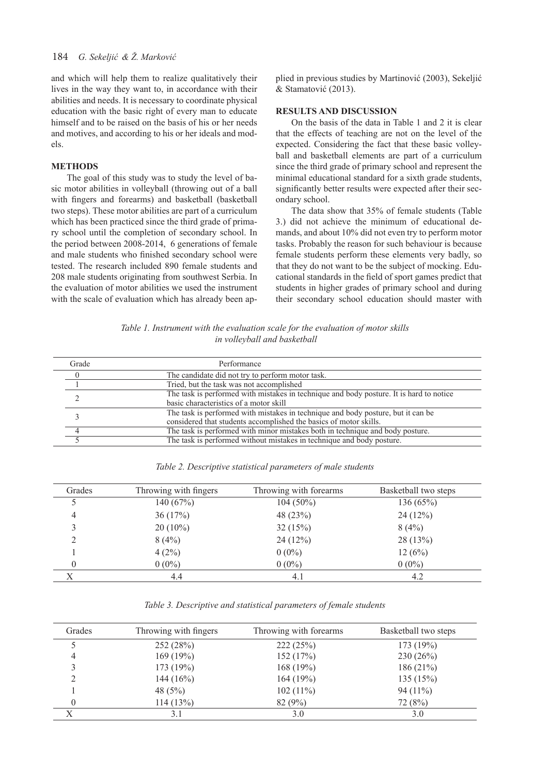# 184 *G. Sekeljić & Ž. Marković*

and which will help them to realize qualitatively their lives in the way they want to, in accordance with their abilities and needs. It is necessary to coordinate physical education with the basic right of every man to educate himself and to be raised on the basis of his or her needs and motives, and according to his or her ideals and models.

#### **METHODS**

The goal of this study was to study the level of basic motor abilities in volleyball (throwing out of a ball with fingers and forearms) and basketball (basketball two steps). These motor abilities are part of a curriculum which has been practiced since the third grade of primary school until the completion of secondary school. In the period between 2008-2014, 6 generations of female and male students who finished secondary school were tested. The research included 890 female students and 208 male students originating from southwest Serbia. In the evaluation of motor abilities we used the instrument with the scale of evaluation which has already been applied in previous studies by Martinović (2003), Sekeljić & Stamatović (2013).

## **RESULTS AND DISCUSSION**

On the basis of the data in Table 1 and 2 it is clear that the effects of teaching are not on the level of the expected. Considering the fact that these basic volleyball and basketball elements are part of a curriculum since the third grade of primary school and represent the minimal educational standard for a sixth grade students, significantly better results were expected after their secondary school.

The data show that 35% of female students (Table 3.) did not achieve the minimum of educational demands, and about 10% did not even try to perform motor tasks. Probably the reason for such behaviour is because female students perform these elements very badly, so that they do not want to be the subject of mocking. Educational standards in the field of sport games predict that students in higher grades of primary school and during their secondary school education should master with

*Table 1. Instrument with the evaluation scale for the evaluation of motor skills in volleyball and basketball*

| Grade    | Performance                                                                             |  |  |
|----------|-----------------------------------------------------------------------------------------|--|--|
| $\theta$ | The candidate did not try to perform motor task.                                        |  |  |
|          | Tried, but the task was not accomplished                                                |  |  |
|          | The task is performed with mistakes in technique and body posture. It is hard to notice |  |  |
|          | basic characteristics of a motor skill                                                  |  |  |
|          | The task is performed with mistakes in technique and body posture, but it can be        |  |  |
|          | considered that students accomplished the basics of motor skills.                       |  |  |
|          | The task is performed with minor mistakes both in technique and body posture.           |  |  |
|          | The task is performed without mistakes in technique and body posture.                   |  |  |

*Table 2. Descriptive statistical parameters of male students*

| Grades | Throwing with fingers | Throwing with forearms | Basketball two steps |
|--------|-----------------------|------------------------|----------------------|
|        | 140(67%)              | $104(50\%)$            | 136(65%)             |
| 4      | 36(17%)               | 48 (23%)               | 24(12%)              |
|        | $20(10\%)$            | 32(15%)                | 8(4%)                |
| ∍      | 8(4%)                 | 24(12%)                | 28 (13%)             |
|        | 4(2%)                 | $0(0\%)$               | 12(6%)               |
|        | $0(0\%)$              | $0(0\%)$               | $0(0\%)$             |
|        | 4.4                   | 4.1                    | 4.2                  |

*Table 3. Descriptive and statistical parameters of female students*

| Grades | Throwing with fingers | Throwing with forearms | Basketball two steps |
|--------|-----------------------|------------------------|----------------------|
|        | 252 (28%)             | 222(25%)               | 173 (19%)            |
| 4      | 169(19%)              | 152(17%)               | 230(26%)             |
|        | 173 (19%)             | 168 (19%)              | 186(21%)             |
|        | 144 $(16%)$           | 164(19%)               | 135(15%)             |
|        | 48 $(5%)$             | $102(11\%)$            | $94(11\%)$           |
|        | 114(13%)              | 82(9%)                 | 72(8%)               |
|        | 3.1                   | 3.0                    | 3.0                  |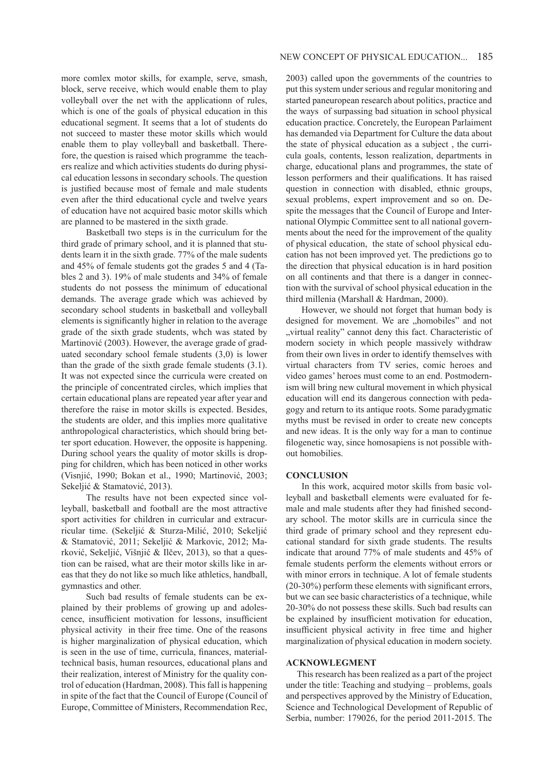more comlex motor skills, for example, serve, smash, block, serve receive, which would enable them to play volleyball over the net with the applicationn of rules, which is one of the goals of physical education in this educational segment. It seems that a lot of students do not succeed to master these motor skills which would enable them to play volleyball and basketball. Therefore, the question is raised which programme the teachers realize and which activities students do during physical education lessons in secondary schools. The question is justified because most of female and male students even after the third educational cycle and twelve years of education have not acquired basic motor skills which are planned to be mastered in the sixth grade.

Basketball two steps is in the curriculum for the third grade of primary school, and it is planned that students learn it in the sixth grade. 77% of the male sudents and 45% of female students got the grades 5 and 4 (Tables 2 and 3). 19% of male students and 34% of female students do not possess the minimum of educational demands. The average grade which was achieved by secondary school students in basketball and volleyball elements is significantly higher in relation to the average grade of the sixth grade students, whch was stated by Martinović (2003). However, the average grade of graduated secondary school female students (3,0) is lower than the grade of the sixth grade female students (3.1). It was not expected since the curricula were created on the principle of concentrated circles, which implies that certain educational plans are repeated year after year and therefore the raise in motor skills is expected. Besides, the students are older, and this implies more qualitative anthropological characteristics, which should bring better sport education. However, the opposite is happening. During school years the quality of motor skills is dropping for children, which has been noticed in other works (Visnjić, 1990; Bokan et al., 1990; Martinović, 2003; Sekeljić & Stamatović, 2013).

The results have not been expected since volleyball, basketball and football are the most attractive sport activities for children in curricular and extracurricular time. (Sekeljić & Sturza-Milić, 2010; Sekeljić & Stamatović, 2011; Sekeljić & Markovic, 2012; Marković, Sekeljić, Višnjić & Ilčev, 2013), so that a question can be raised, what are their motor skills like in areas that they do not like so much like athletics, handball, gymnastics and other.

Such bad results of female students can be explained by their problems of growing up and adolescence, insufficient motivation for lessons, insufficient physical activity in their free time. One of the reasons is higher marginalization of physical education, which is seen in the use of time, curricula, finances, materialtechnical basis, human resources, educational plans and their realization, interest of Ministry for the quality control of education (Hardman, 2008). This fall is happening in spite of the fact that the Council of Europe (Council of Europe, Committee of Ministers, Recommendation Rec,

2003) called upon the governments of the countries to put this system under serious and regular monitoring and started paneuropean research about politics, practice and the ways of surpassing bad situation in school physical education practice. Concretely, the European Parlaiment has demanded via Department for Culture the data about the state of physical education as a subject , the curricula goals, contents, lesson realization, departments in charge, educational plans and programmes, the state of lesson performers and their qualifications. It has raised question in connection with disabled, ethnic groups, sexual problems, expert improvement and so on. Despite the messages that the Council of Europe and International Olympic Committee sent to all national governments about the need for the improvement of the quality of physical education, the state of school physical education has not been improved yet. The predictions go to the direction that physical education is in hard position on all continents and that there is a danger in connection with the survival of school physical education in the third millenia (Marshall & Hardman, 2000).

However, we should not forget that human body is designed for movement. We are "homobiles" and not "virtual reality" cannot deny this fact. Characteristic of modern society in which people massively withdraw from their own lives in order to identify themselves with virtual characters from TV series, comic heroes and video games' heroes must come to an end. Postmodernism will bring new cultural movement in which physical education will end its dangerous connection with pedagogy and return to its antique roots. Some paradygmatic myths must be revised in order to create new concepts and new ideas. It is the only way for a man to continue filogenetic way, since homosapiens is not possible without homobilies.

#### **CONCLUSION**

In this work, acquired motor skills from basic volleyball and basketball elements were evaluated for female and male students after they had finished secondary school. The motor skills are in curricula since the third grade of primary school and they represent educational standard for sixth grade students. The results indicate that around 77% of male students and 45% of female students perform the elements without errors or with minor errors in technique. A lot of female students (20-30%) perform these elements with significant errors, but we can see basic characteristics of a technique, while 20-30% do not possess these skills. Such bad results can be explained by insufficient motivation for education, insufficient physical activity in free time and higher marginalization of physical education in modern society.

#### **ACKNOWLEGMENT**

 This research has been realized as a part of the project under the title: Teaching and studying – problems, goals and perspectives approved by the Ministry of Education, Science and Technological Development of Republic of Serbia, number: 179026, for the period 2011-2015. The